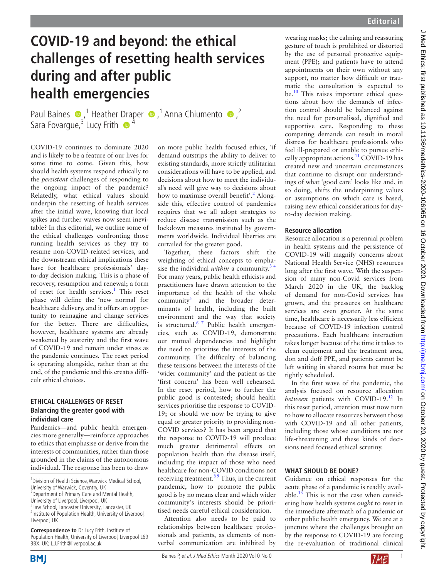# **COVID-19 and beyond: the ethical challenges of resetting health services during and after public health emergencies**

PaulBaines  $\bullet$ ,<sup>1</sup> Heather [Dra](http://orcid.org/0000-0002-8506-0699)per  $\bullet$ ,<sup>1</sup> Anna Chiumento  $\bullet$ ,<sup>2</sup> Sara Fovargue,<sup>3</sup> Lucy Frith  $\bullet$ <sup>4</sup>

COVID-19 continues to dominate 2020 and is likely to be a feature of our lives for some time to come. Given this, how should health systems respond ethically to the *persistent* challenges of responding to the ongoing impact of the pandemic? Relatedly, what ethical values should underpin the resetting of health services after the initial wave, knowing that local spikes and further waves now seem inevitable? In this editorial, we outline some of the ethical challenges confronting those running health services as they try to resume non-COVID-related services, and the downstream ethical implications these have for healthcare professionals' dayto-day decision making. This is a phase of recovery, resumption and renewal; a form of reset for health services.<sup>[1](#page-1-0)</sup> This reset phase will define the 'new normal' for healthcare delivery, and it offers an opportunity to reimagine and change services for the better. There are difficulties, however, healthcare systems are already weakened by austerity and the first wave of COVID-19 and remain under stress as the pandemic continues. The reset period is operating alongside, rather than at the end, of the pandemic and this creates difficult ethical choices.

## **ETHICAL CHALLENGES OF RESET Balancing the greater good with individual care**

Pandemics—and public health emergencies more generally—reinforce approaches to ethics that emphasise or derive from the interests of communities, rather than those grounded in the claims of the autonomous individual. The response has been to draw

**Correspondence to** Dr Lucy Frith, Institute of Population Health, University of Liverpool, Liverpool L69 3BX, UK; L.J.Frith@liverpool.ac.uk

on more public health focused ethics, 'if demand outstrips the ability to deliver to existing standards, more strictly utilitarian considerations will have to be applied, and decisions about how to meet the individual's need will give way to decisions about how to maximise overall benefit'.<sup>[2](#page-1-1)</sup> Alongside this, effective control of pandemics requires that we all adopt strategies to reduce disease transmission such as the lockdown measures instituted by governments worldwide. Individual liberties are curtailed for the greater good.

Together, these factors shift the weighting of ethical concepts to emphasise the individual *within* a community.[3 4](#page-1-2) For many years, public health ethicists and practitioners have drawn attention to the importance of the health of the whole community<sup>[5](#page-1-3)</sup> and the broader determinants of health, including the built environment and the way that society is structured[.6 7](#page-1-4) Public health emergencies, such as COVID-19, demonstrate our mutual dependencies and highlight the need to prioritise the interests of the community. The difficulty of balancing these tensions between the interests of the 'wider community' and the patient as the 'first concern' has been well rehearsed. In the reset period, how to further the public good is contested; should health services prioritise the response to COVID-19; or should we now be trying to give equal or greater priority to providing non-COVID services? It has been argued that the response to COVID-19 will produce much greater detrimental effects on population health than the disease itself, including the impact of those who need healthcare for non-COVID conditions not receiving treatment.<sup>89</sup> Thus, in the current pandemic, how to promote the public good is by no means clear and which wider community's interests should be prioritised needs careful ethical consideration.

Attention also needs to be paid to relationships between healthcare professionals and patients, as elements of nonverbal communication are inhibited by wearing masks; the calming and reassuring gesture of touch is prohibited or distorted by the use of personal protective equipment (PPE); and patients have to attend appointments on their own without any support, no matter how difficult or traumatic the consultation is expected to be.<sup>[10](#page-1-6)</sup> This raises important ethical questions about how the demands of infection control should be balanced against the need for personalised, dignified and supportive care. Responding to these competing demands can result in moral distress for healthcare professionals who feel ill-prepared or unable to pursue ethically appropriate actions.<sup>11</sup> COVID-19 has created new and uncertain circumstances that continue to disrupt our understandings of what 'good care' looks like and, in so doing, shifts the underpinning values or assumptions on which care is based, raising new ethical considerations for dayto-day decision making.

## **Resource allocation**

Resource allocation is a perennial problem in health systems and the persistence of COVID-19 will magnify concerns about National Health Service (NHS) resources long after the first wave. With the suspension of many non-Covid services from March 2020 in the UK, the backlog of demand for non-Covid services has grown, and the pressures on healthcare services are even greater. At the same time, healthcare is necessarily less efficient because of COVID-19 infection control precautions. Each healthcare interaction takes longer because of the time it takes to clean equipment and the treatment area, don and doff PPE, and patients cannot be left waiting in shared rooms but must be tightly scheduled.

In the first wave of the pandemic, the analysis focused on resource allocation *between* patients with COVID-19.<sup>12</sup> In this reset period, attention must now turn to how to allocate resources between those with COVID-19 and all other patients, including those whose conditions are not life-threatening and these kinds of decisions need focused ethical scrutiny.

# **WHAT SHOULD BE DONE?**

Guidance on ethical responses for the acute phase of a pandemic is readily available. $^{13}$  This is not the case when considering how health systems *ought* to reset in the immediate aftermath of a pandemic or other public health emergency. We are at a juncture where the challenges brought on by the response to COVID-19 are forcing the re-evaluation of traditional clinical





<sup>&</sup>lt;sup>1</sup> Division of Health Science, Warwick Medical School, University of Warwick, Coventry, UK

<sup>&</sup>lt;sup>2</sup> Department of Primary Care and Mental Health, University of Liverpool, Liverpool, UK <sup>3</sup> Law School, Lancaster University, Lancaster, UK 4 Institute of Population Health, University of Liverpool,

Liverpool, UK